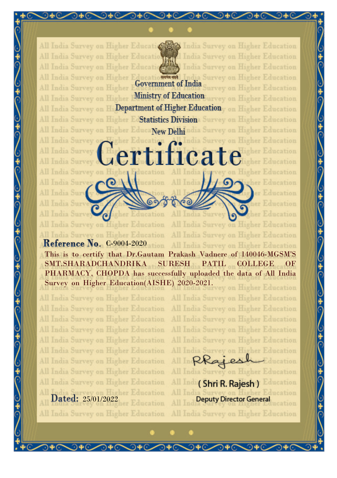

tifica

India Survey

All India Survey on Higher E a Survey on Higher Education ucatio समय करें **Government of India** Survey on Higher Education All India Survey on Higher All India Survey on Higher Ministry of Education urvey on Higher Education All India Survey on F Department of Higher Education on Higher Education All India Survey on Higher E Statistics Division Survey on Higher Education All India Survey on Higher EducaNew Delhindia Survey on Higher Education

Tigher Education

gher Education

acation

 $Jer$ 

All India Survey o All India Survey

All India Survey

India Sury

India Surve

India Survey on

All India Survey on Higher Education Survey on Higher Education **Reference No. C-9004-2020** All India Survey on Higher Education This is to certify that Dr.Gautam Prakash Vadnere of 140046-MGSM'S SMT.SHARADCHANDRIKA SURESH PATIL COLLEGE OF PHARMACY, CHOPDA has successfully uploaded the data of All India Survey on Higher Education(AISHE) 2020-2021. vey on Higher Education

ΑII

All India Survey on Higher Education All India Survey on Higher Education All India Survey on Higher Education All India Survey on Higher Education All India Survey on Higher Education All India Survey on Higher Education All India Survey on Higher Education All India Survey on Higher Education All India Survey on Higher Education Dated: 25/01/2022 her Education

All India Survey on Higher Education

All India Survey on Higher Education

Rkajes All India Survey on Higher Education All Ind (Shri R. Rajesh) Education India Su **Deputy Director General** 

All India Survey on Higher Education

India Survey on Higher Education

India Survey on Higher Education

All India Survey on Higher Education

All India Survey on Higher Education

All India Survey on Higher Education

All India Survey on Higher Education

All India Survey on Higher Education

All India Survey on Higher Education

tigher Education

wher Education

her Education

ucation

v on Higher Education

Education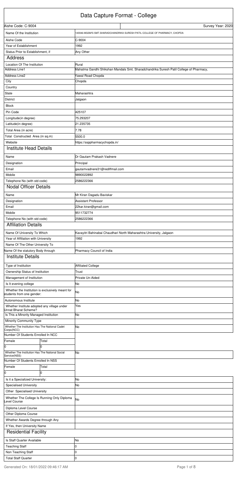## Data Capture Format - College

| Aishe Code: C-9004                                                            |       |                                | Survey Year: 2020                                                                      |
|-------------------------------------------------------------------------------|-------|--------------------------------|----------------------------------------------------------------------------------------|
| Name Of the Institution                                                       |       |                                | 140046-MGSM'S SMT.SHARADCHANDRIKA SURESH PATIL COLLEGE OF PHARMACY, CHOPDA             |
| Aishe Code                                                                    |       | $C-9004$                       |                                                                                        |
| Year of Establishment                                                         |       | 1992                           |                                                                                        |
| Status Prior to Establishment, if                                             |       | Any Other                      |                                                                                        |
| Address                                                                       |       |                                |                                                                                        |
| Location Of The Institution                                                   |       | Rural                          |                                                                                        |
| <b>Address Line1</b>                                                          |       |                                | Mahatma Gandhi Shikshan Mandals Smt. Sharadchandrika Suresh Patil College of Pharmacy, |
| Address Line2                                                                 |       | <b>Yawal Road Chopda</b>       |                                                                                        |
| City                                                                          |       | Chopda                         |                                                                                        |
| Country                                                                       |       |                                |                                                                                        |
| State                                                                         |       | Maharashtra                    |                                                                                        |
| <b>District</b>                                                               |       | Jalgaon                        |                                                                                        |
| <b>Block</b>                                                                  |       |                                |                                                                                        |
| Pin Code                                                                      |       | 425107                         |                                                                                        |
| Longitude(in degree)                                                          |       | 75.293207                      |                                                                                        |
| Latitude(in degree)                                                           |       | 21.235735                      |                                                                                        |
| Total Area (in acre)                                                          |       | 7.78                           |                                                                                        |
| Total Constructed Area (in sq.m)                                              |       | 5500.0                         |                                                                                        |
| Website                                                                       |       | https://ssppharmacychopda.in/  |                                                                                        |
| <b>Institute Head Details</b>                                                 |       |                                |                                                                                        |
|                                                                               |       |                                |                                                                                        |
| Name                                                                          |       | Dr Gautam Prakash Vadnere      |                                                                                        |
| Designation                                                                   |       | Principal                      |                                                                                        |
| Email                                                                         |       | gautamvadnere31@rediffmail.com |                                                                                        |
| Mobile                                                                        |       | 9890022892                     |                                                                                        |
| Telephone No (with std code)                                                  |       | 2586222366                     |                                                                                        |
| <b>Nodal Officer Details</b>                                                  |       |                                |                                                                                        |
| Name                                                                          |       | Mr Kiran Dagadu Baviskar       |                                                                                        |
| Designation                                                                   |       | Assistant Professor            |                                                                                        |
| Email                                                                         |       | 22kar.kiran@gmail.com          |                                                                                        |
| Mobile                                                                        |       | 9511732774                     |                                                                                        |
| Telephone No (with std code)                                                  |       | 2586222366                     |                                                                                        |
| <b>Affiliation Details</b>                                                    |       |                                |                                                                                        |
| Name Of University To Which                                                   |       |                                | Kavayitri Bahinabai Chaudhari North Maharashtra University, Jalgaon                    |
| Year of Affiliation with University                                           |       | 1992                           |                                                                                        |
| Name Of The Other University To                                               |       |                                |                                                                                        |
| Name Of the statutory Body through                                            |       | Pharmacy Council of India      |                                                                                        |
| <b>Institute Details</b>                                                      |       |                                |                                                                                        |
|                                                                               |       |                                |                                                                                        |
| Type of Institution                                                           |       | <b>Affiliated College</b>      |                                                                                        |
| Ownership Status of Institution                                               |       | Trust                          |                                                                                        |
| Management of Institution                                                     |       | Private Un-Aided               |                                                                                        |
| Is It evening college                                                         |       | No                             |                                                                                        |
| Whether the Institution is exclusively meant for<br>students from one gender: |       | No                             |                                                                                        |
| Autonomous Institute                                                          |       | No                             |                                                                                        |
| Whether Institute adopted any village under<br>Unnat Bharat Scheme?           |       | Yes                            |                                                                                        |
| Is This a Minority Managed Institution                                        |       | No                             |                                                                                        |
| Minority Community Type                                                       |       |                                |                                                                                        |
| Whether The Institution Has The National Cadet<br>Corps(NCC)                  |       | lNo                            |                                                                                        |
| Number Of Students Enrolled In NCC                                            |       |                                |                                                                                        |
| Female                                                                        | Total |                                |                                                                                        |
| O                                                                             | 0     |                                |                                                                                        |
| Whether The Institution Has The National Social                               |       | lNo                            |                                                                                        |
| Service(NSS)                                                                  |       |                                |                                                                                        |

| Service(NSS)                       |                                             |    |
|------------------------------------|---------------------------------------------|----|
| Number Of Students Enrolled In NSS |                                             |    |
| Female                             | Total                                       |    |
| Iо                                 |                                             |    |
| Is it a Specialized University:    |                                             | No |
| <b>Specialised University</b>      |                                             | No |
| Other Specialised University       |                                             |    |
| evel Course                        | Whether The College Is Running Only Diploma | No |
| Diploma Level Course               |                                             |    |
| Other Diploma Course               |                                             |    |
| Whether Awards Degree through Any  |                                             |    |
| If Yes, then University Name       |                                             |    |
| <b>Residential Facility</b>        |                                             |    |
| Is Staff Quarter Available         |                                             | No |
| <b>Teaching Staff</b>              |                                             |    |
| Non Teaching Staff                 |                                             |    |
| <b>Total Staff Quarter</b>         |                                             |    |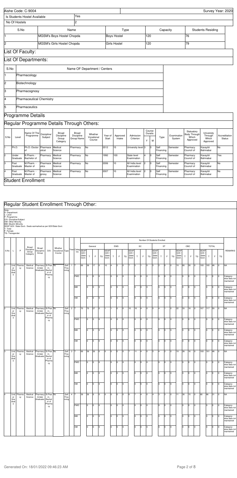## Regular Student Enrollment Through Other:

Note-<br>D- Department<br>L- Level<br>P- Programme<br>D/S- Discipline/Subject<br>MM- Muslim Minority<br>SEAP GOI / State Govt.- Seats earmarked as per GOI/State Govt.<br>F- Total<br>TG- Transgender

| i ransdendi |
|-------------|
|-------------|

|                |                                                               | Aishe Code: C-9004           |                        |                                                 |                                   |                                 |                  |                     |                                |     |                        |                   |                       |                                                        |                                            | Survey Year: 2020              |
|----------------|---------------------------------------------------------------|------------------------------|------------------------|-------------------------------------------------|-----------------------------------|---------------------------------|------------------|---------------------|--------------------------------|-----|------------------------|-------------------|-----------------------|--------------------------------------------------------|--------------------------------------------|--------------------------------|
|                |                                                               | Is Students Hostel Available |                        |                                                 | Yes                               |                                 |                  |                     |                                |     |                        |                   |                       |                                                        |                                            |                                |
|                | No Of Hostels                                                 |                              |                        |                                                 | $\overline{c}$                    |                                 |                  |                     |                                |     |                        |                   |                       |                                                        |                                            |                                |
|                | S.No                                                          |                              |                        |                                                 | Name                              |                                 |                  | Type                |                                |     |                        | Capacity          |                       |                                                        | <b>Students Residing</b>                   |                                |
| H.             |                                                               |                              |                        | MGSM's Boys Hostel Chopda                       |                                   |                                 |                  | <b>Boys Hostel</b>  |                                | 120 |                        |                   |                       | 76                                                     |                                            |                                |
| 2              |                                                               |                              |                        | MGSM's Girls Hostel Chopda                      |                                   |                                 |                  | <b>Girls Hostel</b> |                                | 120 |                        |                   |                       | 79                                                     |                                            |                                |
|                |                                                               | List Of Faculty:             |                        |                                                 |                                   |                                 |                  |                     |                                |     |                        |                   |                       |                                                        |                                            |                                |
|                |                                                               | List Of Departments:         |                        |                                                 |                                   |                                 |                  |                     |                                |     |                        |                   |                       |                                                        |                                            |                                |
| S.No           | Name OF Department / Centers<br>Pharmacology<br>Biotechnology |                              |                        |                                                 |                                   |                                 |                  |                     |                                |     |                        |                   |                       |                                                        |                                            |                                |
|                | Pharmacognosy                                                 |                              |                        |                                                 |                                   |                                 |                  |                     |                                |     |                        |                   |                       |                                                        |                                            |                                |
| 2              |                                                               |                              |                        |                                                 |                                   |                                 |                  |                     |                                |     |                        |                   |                       |                                                        |                                            |                                |
| 3              |                                                               |                              |                        |                                                 |                                   |                                 |                  |                     |                                |     |                        |                   |                       |                                                        |                                            |                                |
| l4             | Pharmaceutical Chemistry                                      |                              |                        |                                                 |                                   |                                 |                  |                     |                                |     |                        |                   |                       |                                                        |                                            |                                |
| l5             |                                                               | Pharmaceutics                |                        |                                                 |                                   |                                 |                  |                     |                                |     |                        |                   |                       |                                                        |                                            |                                |
|                |                                                               | Programme Details            |                        |                                                 |                                   |                                 |                  |                     |                                |     |                        |                   |                       |                                                        |                                            |                                |
|                |                                                               |                              |                        | Regular Programme Details Through Others:       |                                   |                                 |                  |                     |                                |     |                        |                   |                       |                                                        |                                            |                                |
| S.No           | Level                                                         | Name Of The<br>Programme     | Dsicipline/<br>Subject | <b>Broad</b><br>Discipline<br>Group<br>Category | Broad<br>Discipline<br>Group Name | Whether<br>Vocational<br>Course | Year of<br>Start | Approved<br>Intake  | Admission<br>Criterion         | Υ   | Course<br>Duratio<br>M | Type              | Examination<br>System | Statuatory<br><b>Body Through</b><br>Which<br>Approved | University<br>Through<br>Which<br>Approved | Accreditation<br><b>Status</b> |
| 1              | Ph.D.                                                         | Ph.D.-Doctor<br>lof          | Pharmace<br>utical     | Medical<br>Science                              | Pharmacy                          | No                              | 2012             | 15                  | University level 3             |     | Iо                     | Self<br>Financing | Semester              | Pharmacy<br>Council of                                 | Kavayitri<br>Bahinabai                     | No                             |
| $\overline{c}$ | Under<br>Graduate                                             | B.Pharm.-<br>Bachelor of     | Pharmacy               | Medical<br>Science                              | Pharmacy                          | No                              | 1992             | 100                 | State level<br>Examination     |     | lo                     | Self<br>Financing | Semester              | Pharmacy<br>Council of                                 | Kavayitri<br>Bahinabai                     | Yes                            |
| 3              | Post<br>Graduate                                              | M.Pharm. -<br>Master of      | Pharmace<br>utics      | Medical<br>Science                              | Pharmacy                          | No                              | 2006             | 10                  | All India level<br>Examination | 2   | lo                     | Self<br>Financing | Semester              | Pharmacy<br>Council of                                 | Kavayitri<br>Bahinabai                     | No                             |
| 4              | Post<br>Graduate                                              | M.Pharm. -<br>Master of      | Pharmaco<br>gnosy      | Medical<br>Science                              | Pharmacy                          | No                              | 2007             | 10                  | All India level<br>Examination | 2   | Iо                     | Self<br>Financing | Semester              | Pharmacy<br>Council of                                 | Kavayitri<br>Bahinabai                     | No                             |
|                |                                                               | <b>Student Enrollment</b>    |                        |                                                 |                                   |                                 |                  |                     |                                |     |                        |                   |                       |                                                        |                                            |                                |

|                |                                          |              |                                 |                                           |                                                 |                                          |                       |                |            |                       |     |          |     |                                            |     |     |     |                                      |     | Number Of Students Enrolled |     |                                       |           |     |     |                                       |                 |     |     |                                      |              |              |    |                                          |
|----------------|------------------------------------------|--------------|---------------------------------|-------------------------------------------|-------------------------------------------------|------------------------------------------|-----------------------|----------------|------------|-----------------------|-----|----------|-----|--------------------------------------------|-----|-----|-----|--------------------------------------|-----|-----------------------------|-----|---------------------------------------|-----------|-----|-----|---------------------------------------|-----------------|-----|-----|--------------------------------------|--------------|--------------|----|------------------------------------------|
|                |                                          |              | Broad                           | Broad                                     |                                                 | Whether                                  |                       |                |            |                       |     | General  |     |                                            |     | EWS |     |                                      | SC  |                             |     |                                       | <b>ST</b> |     |     |                                       |                 | OBC |     |                                      | <b>TOTAL</b> |              |    |                                          |
| S.No           |                                          | P            | Discipline<br>Group<br>Category | Discipline<br>Group                       | D/S                                             | Vocational Type Year Categreen<br>Course |                       |                | ory        | GOI<br>State<br>Govt. | T.  | F.       | TG  | <b>SEAP</b><br>GOI<br><b>State</b><br>Govt | T   | E   | TG  | <b>SEAP</b><br>GOI<br>State<br>Govt. | T   | F.                          | TG  | <b>SEAP</b><br>GOI.<br>State<br>Govt. | T.        | F   | TG  | <b>SEAP</b><br>GOI.<br>State<br>Govt. | T               | F.  | TG  | <b>SEAP</b><br>GOI.<br>State<br>Govt | T.           | F.           | TG | <b>REMARKS</b>                           |
|                | Und<br>er<br>Gra<br>duat<br>$\mathbf{e}$ | Pharma<br>cy | Medical<br>Science              | Pharmacy<br>(Under<br>Graduate)           | B.Phar No<br>$m -$<br>Bachel<br>or of<br>Pharma |                                          | Self<br>Fina<br>ncing | $\mathbf{1}$   | Iт         | 69                    | 38  | 17       | Iо  | 10                                         | l4. | 2   | lo. | 7                                    | 5   |                             | I٥  | l5                                    | 2         | lo. | Iо  | 19                                    | l <sub>60</sub> | 30  | I٥  | 100                                  | 105          | 48           | I٥ | <b>NA</b>                                |
|                |                                          |              |                                 |                                           | cy                                              |                                          |                       |                | <b>PWD</b> |                       | I٥  | ln.      | l0. |                                            | l٥  | l0  | In. |                                      | l٥  | I0.                         | I٥  |                                       | I٥        | l0. | lo. |                                       | I٥              | I0. | I٥  |                                      | I٥           | I٥           |    | Category-<br>wise data not<br>maintained |
|                |                                          |              |                                 |                                           |                                                 |                                          |                       |                | <b>MM</b>  |                       | n   | $\Omega$ | I٥  |                                            | ln. | I0. | I0. |                                      | lo  | I0.                         | l∩  |                                       | l٥        | l0. | Iо  |                                       | I٥              | I0. | ln. |                                      | lo.          | I0.          |    | Category-<br>wise data not<br>maintained |
|                |                                          |              |                                 |                                           |                                                 |                                          |                       |                | OM         |                       | I٥  | ln.      | I٥  |                                            | I٥  | I٥  | Iо  |                                      | lo. | lo.                         | I٥  |                                       | I٥        | l0. | Iо  |                                       | I٥              | Iо  | I٥  |                                      | lo.          | l0           | I٥ | Category-<br>wise data not<br>maintained |
| $\overline{c}$ | Und<br>er<br>Gra<br>duat                 | Pharma<br>cy | Medical<br>Science              | Pharmacy<br>(Under<br>Graduate)           | B.Phar No<br>$m -$<br>Bachel<br>or of           |                                          | Self<br>Fina<br>ncing | $\overline{2}$ | Iт         | 70                    | 70  | 27       | I٥  |                                            |     | l0. | l0. | 10                                   | 10  | I4.                         | In. | l5                                    | l4        |     | Iо  | 22                                    | 33              | 18  | lo. | 107                                  | 117 50       |              | I٥ | <b>NA</b>                                |
|                | $\mathbf{e}$                             |              |                                 |                                           | Pharma<br>cy                                    |                                          |                       |                | PWD        |                       | I٥  | I٥       | l0  |                                            | ln. | l0. | I0. |                                      | l٥  | In.                         | In. |                                       | I٥        | n.  | Iо  |                                       | I٥              | lo. | I∩  |                                      | lo.          | <sup>o</sup> | ١c | Category-<br>wise data not<br>maintained |
|                |                                          |              |                                 |                                           |                                                 |                                          |                       |                | <b>MM</b>  |                       | ln. | ln.      | l0. |                                            | l٥  | l0. | lo. |                                      | l٥  | I0.                         | I0. |                                       | I٥        | l0. | lo. |                                       | I٥              | lo. | I٥  |                                      | lo.          | <sup>o</sup> |    | Category-<br>wise data not<br>maintained |
|                |                                          |              |                                 |                                           |                                                 |                                          |                       |                | OM         |                       | I٥  | ln.      | l0  |                                            | In  | l0  | lo. |                                      | l٥  | $\Omega$                    |     |                                       | l٥        | lo. | Iо  |                                       | l٨              | Iо  | ln. |                                      | lo.          | I٥           |    | Category-<br>wise data not<br>maintained |
| 3              | Und<br>er<br>Gra<br>duat                 | Pharma<br>cy | Medical<br>Science              | Pharmacy B.Phar No<br>(Under<br>Graduate) | m.-<br>Bachel<br>or of                          |                                          | Self<br>Fina<br>ncing | $\mathbf{3}$   | Iт         | 69                    | 58  | 26       | lo. | I0.                                        | I0. | l0  | Iо  | 17                                   | 11  | $\overline{a}$              | I٥  | 15                                    | l4.       | l2  | Iо  | 19                                    | 28              | 16  | lo. | 100                                  | 101          | 48           |    | <b>NA</b>                                |

|    | uuat                              |              |                    |                                           | <b>UI UI</b><br>Pharma   |                       |               |           |    |    |     |     |    |    |    |     |    |    |     |    |    |     |                |     |    |    |     |    |     |     |                                          |
|----|-----------------------------------|--------------|--------------------|-------------------------------------------|--------------------------|-----------------------|---------------|-----------|----|----|-----|-----|----|----|----|-----|----|----|-----|----|----|-----|----------------|-----|----|----|-----|----|-----|-----|------------------------------------------|
|    | $\mathsf{e}% _{t}\left( t\right)$ |              |                    |                                           | cy                       |                       |               | PWD       |    | I٥ | Iо  | l0. |    |    | I٥ | I٥  |    | I٥ | Iо  | ю  |    | l٥  | Iо             | Iо  |    |    | I0. |    | lo. | Iо  | Category-<br>wise data not<br>maintained |
|    |                                   |              |                    |                                           |                          |                       |               | <b>MM</b> |    | I٥ | Iо  | 0   |    |    | I٥ | l0  |    | I٥ | l0  | ΙU |    | l0. | $\overline{0}$ | Iо  |    |    | l0  |    | lo. | Iо  | Category-<br>wise data not<br>maintained |
|    |                                   |              |                    |                                           |                          |                       |               | <b>OM</b> |    | l٥ | I0. | l0. |    |    | I٥ | I٥  |    | l٥ | 0   | ю  |    | ln. |                | lo. |    |    | I٥  |    | lo. | 0   | Category-<br>wise data not<br>maintained |
| ١4 | Und<br>er<br>Gra<br>duat          | Pharma<br>CV | Medical<br>Science | Pharmacy B.Phar No<br>(Under<br>Graduate) | $m -$<br>Bachel<br>or of | Self<br>Fina<br>ncing | $4 \text{ T}$ |           | 39 | 26 | l9  | lo. | l0 | 10 | I٥ | I٥  | l6 | Iэ | ١4  | 10 | 14 | Iз  | 3              | lo. | 11 | 30 | 15  | 60 | 66  | 131 | <b>NA</b>                                |
|    | $\mathsf{e}% _{t}\left( t\right)$ |              |                    |                                           | Pharma<br>cy             |                       |               | PWD       |    | I٥ | lo. | I0. |    |    | l0 | l0. |    | I٥ | lo. | 10 |    | l٥  | 10             | lo. |    |    | I٥  |    | lo. | Iо  | Category-<br>wise data not<br>maintained |
|    |                                   |              |                    |                                           |                          |                       |               | <b>MM</b> |    | I٥ | Iо  | l0  |    | 10 | l0 | l0  |    | I٥ | Iо  | 10 |    | lo. | 10             | Iо  |    |    | l0  |    | lo. | Iо  | Category-<br>wise data not<br>maintained |
|    |                                   |              |                    |                                           |                          |                       |               | OM        |    | I٥ | I٥  | l0. |    | 10 | I٥ | l0. |    | I٥ | 0   | 10 |    | I٥  | 10             | Io. |    |    | I٥  |    | I٥  | I0. | Category-<br>wise data not<br>maintained |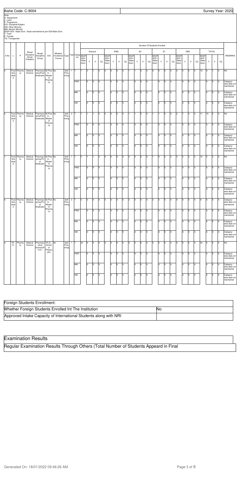## Examination Results

| Foreign Students Enrollment:                                      |     |
|-------------------------------------------------------------------|-----|
| Whether Foreign Students Enrolled Int The Institution             | 1No |
| Approved Intake Capacity of International Students along with NRI |     |

| Note-<br>D- Department<br>L- Level<br>P- Programme<br>T- Total<br>F- Female | TG- Transgender                                          | D/S- Discipline/Subject<br>OM- Other Minority<br>MM- Muslim Minority |                     |                                         |                                               | SEAP GOI / State Govt.- Seats earmarked as per GOI/State Govt. |                       |             |           |                       |     |         |        |                              |         |        |        |                         |          |                              |                             |                        |          |           |         |                      |             |         |         |                         |             |              |        |                                                       |
|-----------------------------------------------------------------------------|----------------------------------------------------------|----------------------------------------------------------------------|---------------------|-----------------------------------------|-----------------------------------------------|----------------------------------------------------------------|-----------------------|-------------|-----------|-----------------------|-----|---------|--------|------------------------------|---------|--------|--------|-------------------------|----------|------------------------------|-----------------------------|------------------------|----------|-----------|---------|----------------------|-------------|---------|---------|-------------------------|-------------|--------------|--------|-------------------------------------------------------|
|                                                                             |                                                          |                                                                      |                     |                                         |                                               |                                                                |                       |             |           |                       |     |         |        |                              |         |        |        |                         |          |                              | Number Of Students Enrolled |                        |          |           |         |                      |             |         |         |                         |             |              |        |                                                       |
| S.No                                                                        | L.                                                       | P                                                                    | Broad<br>Discipline | Broad<br>Discipline                     | D/S                                           | Whether<br>Vocational Type                                     |                       |             |           | Year Categ SEAP       |     | General |        | <b>SEAP</b>                  |         | EWS    |        | <b>SEAP</b>             |          | $\operatorname{\textsf{SC}}$ |                             | <b>SEAP</b>            |          | <b>ST</b> |         | SEAP                 |             | OBC     |         | <b>SEAP</b>             |             | <b>TOTAL</b> |        | <b>REMARKS</b>                                        |
|                                                                             |                                                          |                                                                      | Group<br>Category   | Group                                   |                                               | Course                                                         |                       |             | ory       | GOI<br>State<br>Govt. | Т   | F       | TG     | <b>GOI</b><br>State<br>Govt. | Τ       | F.     | TG     | GOI /<br>State<br>Govt. | T        | F                            | TG                          | GOI,<br>State<br>Govt. | $\top$   | F         | TG      | GOI<br>State<br>Govt | $\mathsf T$ | F       | TG      | GOI /<br>State<br>Govt. | $\mathsf T$ | F            | TG     |                                                       |
| 5                                                                           | Post<br>Gra<br>duat<br>$\mathsf{e}% _{t}\left( t\right)$ | Pharma<br>cy                                                         | Medical<br>Science  | Pharmace<br>utics(Post<br>Graduate)     | M.Phar No<br>$m. -$<br>Master<br>of           |                                                                | Self<br>Fina<br>ncing | $1$ T       |           | 7                     | 3   |         | 0      | 0                            | 0       | O      | 0      |                         |          | Iо                           | o                           | 0                      | Iо       | O         | l0      | 2                    | 5           | Iо      | O       | 10                      | 9           |              | 0      | <b>NA</b>                                             |
|                                                                             |                                                          |                                                                      |                     |                                         | Pharma<br>cy                                  |                                                                |                       |             | PWD       |                       | 10  | O       | 0      |                              | 10      | O      | 0      |                         | I٥       | Iо                           | 0                           |                        | lо       | O         | 0       |                      | Iо          | Iо      | l0      |                         | Iо          | 0            | 0      | Category-<br>wise data not<br>maintained              |
|                                                                             |                                                          |                                                                      |                     |                                         |                                               |                                                                |                       |             | MМ        |                       | I٥  | l0      | O      |                              | I٥      | O      | 0      |                         | l٥       | Iо                           | o                           |                        | Iо       | O         | 0       |                      | lо          | O       | 0       |                         | lо          | 0            | 0      | Category-<br>wise data not<br>maintained              |
|                                                                             |                                                          |                                                                      |                     |                                         |                                               |                                                                |                       |             | <b>OM</b> |                       | I٥  | O       | 0      |                              | I٥      | 0      | 0      |                         | Iо       | Iо                           | o                           |                        | Iо       | O         | 0       |                      | I٥          | Iо      | l0      |                         | Iо          | 0            | 0      | Category-<br>wise data not<br>maintained              |
| $6\overline{6}$                                                             | Post<br>Gra<br>duat<br>$\mathsf{e}% _{t}\left( t\right)$ | Pharma<br>cy                                                         | Medical<br>Science  | Pharmace<br>utics(Post<br>Graduate)     | M.Phar No<br>$m. -$<br>Master<br>of<br>Pharma |                                                                | Self<br>Fina<br>ncing | $2 \mid T$  |           | 17                    |     |         | 0      | O                            | 0       | O      | 0      |                         |          | Iо                           | 0                           | 1                      | I1.      | O         | 0       | 2                    |             | 4       | Iо      | 11                      | 10          | 5            | 0      | <b>NA</b>                                             |
|                                                                             |                                                          |                                                                      |                     |                                         | cy                                            |                                                                |                       |             | PWD       |                       | 10  | O       | 0      |                              | 10      | O      | 0      |                         | I٥       | Iо                           | 0                           |                        | Iо       | O         | 0       |                      | Iо          | Iо      | l0      |                         | Iо          | 0            | 0      | Category-<br>wise data not<br>maintained              |
|                                                                             |                                                          |                                                                      |                     |                                         |                                               |                                                                |                       |             | МM        |                       | I٥  | O       | 0      |                              | I٥      | O      | 0      |                         | Iо       | Iо                           | o                           |                        | Iо       | O         | 0       |                      | lо          | Iо      | 0       |                         | Iо          | 0            | 0      | Category-<br>wise data not<br>maintained              |
|                                                                             |                                                          |                                                                      |                     |                                         |                                               |                                                                |                       |             | <b>OM</b> |                       | I٥  | O       | 0      |                              | I٥      | 0      | 0      |                         | Iо       | Iо                           | o                           |                        | Iо       | O         | 0       |                      | lо          | Iо      | l0      |                         | Iо          | 0            | 0      | Category-<br>wise data not<br>maintained              |
|                                                                             | Post<br>Gra<br>duat<br>$\mathsf{e}% _{t}\left( t\right)$ | Pharma<br>сy                                                         | Medical<br>Science  | Pharmaco<br>gnosy(Po<br>st<br>Graduate) | M.Phar No<br>$m. -$<br>Master<br>of<br>Pharma |                                                                | Self<br>Fina<br>ncing | 1 T         | PWD       | 5                     | 10  | O       | 0<br>0 | O                            | 0<br>10 | O<br>0 | 0<br>0 | 2                       | l0<br>I٥ | Iо<br>Iо                     | 0<br>0                      | 1                      | Iо<br>Iо | O<br>O    | l0<br>0 | 2                    | Iо          | 2<br>Iо | O<br>l0 | 10                      | 5<br>Iо     | 3<br>O       | 0<br>0 | NA                                                    |
|                                                                             |                                                          |                                                                      |                     |                                         | cy                                            |                                                                |                       |             | MМ        |                       | lo. | O       | 0      |                              | I٥      | O      | 0      |                         | Iо       | Iо                           | o                           |                        | Iо       | O         | l0      |                      | lо          | lo.     | l0      |                         | Iо          | 0            | 0      | Category-<br>wise data not<br>maintained<br>Category- |
|                                                                             |                                                          |                                                                      |                     |                                         |                                               |                                                                |                       |             | OМ        |                       | I٥  | O       | O      |                              | I٥      | 0      | O      |                         | Iо       | Iо                           | o                           |                        | Iо       | O         | lo.     |                      | lо          | 0       | l0      |                         | Iо          | 0            | 0      | wise data not<br>maintained<br>Category-              |
| $\overline{\bf 8}$                                                          | Post                                                     | Pharma                                                               | Medical             | Pharmaco                                | M.Phar No                                     |                                                                | Self                  | 2 $\vert$ T |           | 5                     | O   | O       | 0      | 0                            | 0       | O      | O      | $\overline{2}$          | l0       | Iо                           | o                           | $\overline{2}$         | Iо       | O         | l0.     | 0                    | O           | Iо      | O       | 9                       | l0          | 0            | 0      | wise data not<br>namamed<br>Category-                 |
|                                                                             | Gra<br>duat<br>$\mathsf{e}% _{t}\left( t\right)$         | cy                                                                   | Science             | gnosy(Po<br>st<br>Graduate)             | $m. -$<br>Master<br>of<br>Pharma              |                                                                | Fina<br>ncing         |             | PWD       |                       | 10  | 0       | 0      |                              | 10      | 0      | 0      |                         | I٥       | Iо                           | o                           |                        | I٥       | O         | 0       |                      | lо          | Iо      | l0      |                         | Iо          | 0            | 0      | wise data not<br>maintained<br>Category-              |
|                                                                             |                                                          |                                                                      |                     |                                         | cy                                            |                                                                |                       |             | MМ        |                       | lo. | O       | 0      |                              | I٥      | 0      | 0      |                         | Iо       | Iо                           | o                           |                        | Iо       | O         | 0       |                      | I٥          | Iо      | l0      |                         | Iо          | 0            | 0      | wise data not<br>maintained<br>Category-              |
|                                                                             |                                                          |                                                                      |                     |                                         |                                               |                                                                |                       |             | <b>OM</b> |                       | I٥  | O       | 0      |                              | I٥      | 0      | 0      |                         | Iо       | Iо                           | 0                           |                        | Iо       | O         | 0       |                      | I٥          | Iо      | l0      |                         | lо          | 0            | 0      | wise data not<br>maintained<br>Category-              |
| $\overline{9}$                                                              | Ph.                                                      | Pharma                                                               | Medical             | Pharmace                                | Ph.D.-                                        | No                                                             | Self                  | 1           | Iт        | 24                    | 6   | O       | 0      | I٥                           | O       | O      | 0      | O                       | l0       | Iо                           | 0                           | 0                      | Iо       | O         | l0.     | 0                    | I٥          | O       | Iо      | 24                      | 6           | O            | 0      | wise data not<br>maintained<br><b>NA</b>              |
|                                                                             | D.                                                       | cy                                                                   | Science             | utical<br>Science(P<br>h.D.)            | Doctor<br>of<br>Philoso<br>phy                |                                                                | Fina<br>ncing         |             | PWD       |                       | 10  | 0       | 0      |                              | 10      | 0      | O      |                         | I٥       | Iо                           | o                           |                        | Iо       | O         | 0       |                      | lо          | Iо      | l0      |                         | Iо          | O            | 0      | Category-                                             |
|                                                                             |                                                          |                                                                      |                     |                                         |                                               |                                                                |                       |             | MМ        |                       | lo. | O       | 0      |                              | I٥      | 0      | Iо     |                         | Iо       | Iо                           | 0                           |                        | I٥       | Iо        | 0       |                      | I٥          | Iо      | l0      |                         | lо          | 0            | 0      | wise data not<br>maintained<br>Category-              |
|                                                                             |                                                          |                                                                      |                     |                                         |                                               |                                                                |                       |             | <b>OM</b> |                       | I٥  | O       | 0      |                              | I٥      | 0      | O      |                         | Iо       | Iо                           | o                           |                        | Iо       | O         | 0       |                      | lо          | Iо      | Iо      |                         | Iо          | 0            | 0      | wise data not<br>maintained<br>Category-              |
|                                                                             |                                                          |                                                                      |                     |                                         |                                               |                                                                |                       |             |           |                       |     |         |        |                              |         |        |        |                         |          |                              |                             |                        |          |           |         |                      |             |         |         |                         |             |              |        | wise data not<br>maintained                           |

Aishe Code: C-9004 Survey Year: 2020

Regular Examination Results Through Others (Total Number of Students Appeard in Final

Generated On: 18/01/2022 09:46:26 AM 8 and 7 and 7 and 7 and 7 and 7 and 7 and 7 and 8 and 8 and 8 and 8 and 8 and 8 and 8 and 8 and 8 and 8 and 8 and 8 and 8 and 8 and 8 and 8 and 8 and 8 and 8 and 8 and 8 and 8 and 8 and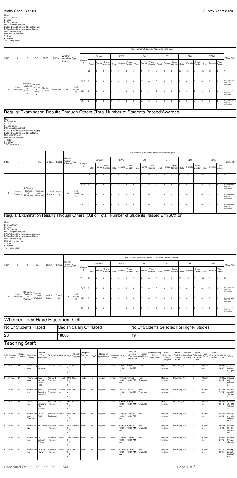|                                                                             | Aishe Code: C-9004                                                                                                                                                                                                                                                                                                                                                                                                                                                    |                            |                                          |                            |                    |              |                                      |                         |                            |       |         |                          |                   |                |                 |                                              |                                         |                                             |          |                                                                 |                 |            |                   |                                                    |               |                                |                 | Survey Year: 2020                       |
|-----------------------------------------------------------------------------|-----------------------------------------------------------------------------------------------------------------------------------------------------------------------------------------------------------------------------------------------------------------------------------------------------------------------------------------------------------------------------------------------------------------------------------------------------------------------|----------------------------|------------------------------------------|----------------------------|--------------------|--------------|--------------------------------------|-------------------------|----------------------------|-------|---------|--------------------------|-------------------|----------------|-----------------|----------------------------------------------|-----------------------------------------|---------------------------------------------|----------|-----------------------------------------------------------------|-----------------|------------|-------------------|----------------------------------------------------|---------------|--------------------------------|-----------------|-----------------------------------------|
| Note-<br>D- Department<br>L- Level<br>P- Programme<br>T- Total<br>F- Female | D/S- Discipline/Subject<br>BDGC- Broad Discipline Group Category<br>BDGN- Broad Discipline Group Name<br>OM- Other Minority<br>MM- Muslim Minority<br>TG- Transgender                                                                                                                                                                                                                                                                                                 |                            |                                          |                            |                    |              |                                      |                         |                            |       |         |                          |                   |                |                 |                                              |                                         |                                             |          |                                                                 |                 |            |                   |                                                    |               |                                |                 |                                         |
|                                                                             |                                                                                                                                                                                                                                                                                                                                                                                                                                                                       |                            |                                          |                            |                    |              |                                      |                         |                            |       |         |                          |                   |                |                 |                                              |                                         |                                             |          | Total Number of Students Appeard in Final Year                  |                 |            |                   |                                                    |               |                                |                 |                                         |
| S <sub>NO</sub>                                                             | L                                                                                                                                                                                                                                                                                                                                                                                                                                                                     | P                          | D/S                                      | <b>BDGC</b>                | <b>BDGN</b>        |              | Whether<br>Vocational Type<br>Course |                         | Categor                    |       | General |                          |                   | EWS            |                 |                                              | SC                                      |                                             |          | ST                                                              |                 |            | OBC               |                                                    |               | <b>TOTAL</b>                   |                 | <b>REMARKS</b>                          |
|                                                                             |                                                                                                                                                                                                                                                                                                                                                                                                                                                                       |                            |                                          |                            |                    |              |                                      |                         | у                          | Total | Female  | Trans<br>Gender          | Total             | Female         | Trans<br>Gender | Total                                        | Female                                  | Trans<br>Gender                             | Total    | Female                                                          | Trans<br>Gender | Total      | Female            | Trans<br>Gender                                    | Total         | Female                         | Trans<br>Gender |                                         |
|                                                                             |                                                                                                                                                                                                                                                                                                                                                                                                                                                                       |                            |                                          |                            |                    |              |                                      |                         | т                          | 25    | l9      | O                        |                   | I٥             | I٥              |                                              |                                         |                                             | 3        | 3                                                               | 0               | 30         | 15                | I٥                                                 | 65            | 31                             | $\Omega$        | NA                                      |
|                                                                             |                                                                                                                                                                                                                                                                                                                                                                                                                                                                       | B.Pharm.<br>-Bachelor      | Pharma                                   |                            |                    |              |                                      |                         | PWD                        | I٥    | 0       | 0                        | I٥                | 0              | Iо              | I٥                                           | $\Omega$                                | 10                                          | ١o       | 0                                                               | 0               | ۱n         | I٥                | Iо                                                 | Iо            | <sup>0</sup>                   | 0               | Category-wise<br>data not<br>maintained |
| $\overline{1}$                                                              | Under<br>Graduate                                                                                                                                                                                                                                                                                                                                                                                                                                                     | of<br>Pharmac<br>у         | cy(Unde<br>$\mathsf{r}$<br>Graduat<br>e) | Medical<br>Science         | Pharmacy           |              | No                                   | Self<br>Financi<br>ng   | MM                         | O     | 0       | O                        | I٥                | 10             | Iо              | I٥                                           | $\mathbf 0$                             | 0                                           | I٥       | 0                                                               | 0               | ۱n         | 10                | Iо                                                 | Iо            | 0                              | 0               | Category-wise<br>data not<br>maintained |
|                                                                             |                                                                                                                                                                                                                                                                                                                                                                                                                                                                       |                            |                                          |                            |                    |              |                                      |                         | OM                         | lо    | O       | O                        | l٥                | lо             | Iо              | l٥                                           | $\mathbf 0$                             | U                                           | $\Omega$ | I٥                                                              | 0               | l٥         | lo                | Iо                                                 | I٥            | n.                             |                 | Category-wise<br>data not               |
|                                                                             |                                                                                                                                                                                                                                                                                                                                                                                                                                                                       |                            |                                          |                            |                    |              |                                      |                         |                            |       |         |                          |                   |                |                 |                                              |                                         |                                             |          |                                                                 |                 |            |                   |                                                    |               |                                |                 | maintained                              |
| Note-                                                                       | Regular Examination Results Through Others (Total Number of Students Passed/Awarded                                                                                                                                                                                                                                                                                                                                                                                   |                            |                                          |                            |                    |              |                                      |                         |                            |       |         |                          |                   |                |                 |                                              |                                         |                                             |          |                                                                 |                 |            |                   |                                                    |               |                                |                 |                                         |
| T- Total<br>F- Female                                                       | D/S- Discipline/Subject<br>BDGC- Broad Discipline Group Category<br>BDGN- Broad Discipline Group Name<br>OM- Other Minority<br>MM- Muslim Minority                                                                                                                                                                                                                                                                                                                    |                            |                                          |                            |                    |              |                                      |                         |                            |       |         |                          |                   |                |                 |                                              |                                         |                                             |          |                                                                 |                 |            |                   |                                                    |               |                                |                 |                                         |
|                                                                             | TG- Transgender<br>Total Number of Students Passed/Awarded Degree<br>Whether<br>OBC<br><b>TOTAL</b><br>EWS<br>SC<br>ST<br>General<br>Vocation<br>P<br><b>BDGC</b><br><b>BDGN</b><br>L<br>D/S<br>Type<br>al Course<br>Categor<br>Trans<br>Trans<br>Trans<br>Trans<br>Trans<br>Trans<br>у<br>Female<br>Female<br>Female<br>Female<br>Female<br>Female<br>Total<br>Total<br>Gender<br>Total<br>Gender<br>Gender<br>Total<br>Gender<br>Total<br>Gender<br>Total<br>Gender |                            |                                          |                            |                    |              |                                      |                         |                            |       |         |                          |                   |                |                 |                                              |                                         |                                             |          |                                                                 |                 |            |                   |                                                    |               |                                |                 |                                         |
| S NO                                                                        |                                                                                                                                                                                                                                                                                                                                                                                                                                                                       |                            |                                          |                            |                    |              |                                      |                         |                            |       |         |                          |                   |                |                 |                                              |                                         |                                             |          |                                                                 |                 |            |                   |                                                    |               |                                |                 | <b>REMARKS</b>                          |
|                                                                             |                                                                                                                                                                                                                                                                                                                                                                                                                                                                       |                            |                                          |                            |                    |              |                                      |                         | т                          | 25    | 9       | l0                       | 0                 | lo             | Iо              |                                              |                                         | O                                           | 3        | 3                                                               | 0               | 30         | 15                | Iо                                                 | 65            | 31                             | 0               | NA                                      |
|                                                                             |                                                                                                                                                                                                                                                                                                                                                                                                                                                                       | B.Pharm.<br>Bachelor       | Pharmacy(                                |                            |                    |              |                                      | Self                    | PWD                        | O     | 0       | I٥                       | lo.               | lо             | Iо              | I٥                                           | $\mathbf 0$                             | 0                                           | lo.      | 0                                                               | O               | Iо         | I٥                | Iо                                                 | Iо            | $\overline{0}$                 | 0               | Category-wise<br>data not<br>aintaine   |
| $\mathbf{1}$                                                                | Under<br>Graduate                                                                                                                                                                                                                                                                                                                                                                                                                                                     | of<br>Pharmacy             | Under<br>Graduate)                       |                            | Medical<br>Science | Pharma<br>cy | No                                   | Financi<br>ng           | MM                         | I٥    | 0       | l0                       | l٥                | l <sub>0</sub> | Iо              | Iо                                           | $\Omega$                                | O                                           | 0        | 0                                                               | 0               | ۱n         | $\Omega$          | Iо                                                 | Iо            | <sup>0</sup>                   |                 | Category-wise<br>data not<br>naintained |
|                                                                             |                                                                                                                                                                                                                                                                                                                                                                                                                                                                       |                            |                                          |                            |                    |              |                                      |                         | OM                         | O     | I٥      | 0                        | 10                | lo             | Iо              | lо                                           | $\mathbf 0$                             | 0                                           | 0        | 0                                                               | I٥              | Iо         | 10                | Iо                                                 | Iо            | 0                              |                 | Category-wise<br>data not<br>maintained |
|                                                                             | Regular Examination Results Through Others (Out of Total, Number of Students Passed with 60% or                                                                                                                                                                                                                                                                                                                                                                       |                            |                                          |                            |                    |              |                                      |                         |                            |       |         |                          |                   |                |                 |                                              |                                         |                                             |          |                                                                 |                 |            |                   |                                                    |               |                                |                 |                                         |
| Note-<br>D- Department<br>L-Level<br>P- Programme<br>T- Total<br>F- Female  | D/S- Discipline/Subject<br>BDGC- Broad Discipline Group Category<br><b>BDGN- Broad Discipline Group Name</b><br>OM- Other Minority<br>MM- Muslim Minority<br>TG-Transgender                                                                                                                                                                                                                                                                                           |                            |                                          |                            |                    |              |                                      |                         |                            |       |         |                          |                   |                |                 |                                              |                                         |                                             |          |                                                                 |                 |            |                   |                                                    |               |                                |                 |                                         |
|                                                                             |                                                                                                                                                                                                                                                                                                                                                                                                                                                                       |                            |                                          |                            |                    |              | Whether<br>Vocation                  |                         |                            |       | General |                          |                   | EWS            |                 |                                              | SC                                      |                                             |          | Out of Total, Number of Students Passed with 60% or above<br>ST |                 |            | OBC               |                                                    |               | <b>TOTAL</b>                   |                 |                                         |
| S <sub>NO</sub>                                                             | L                                                                                                                                                                                                                                                                                                                                                                                                                                                                     | P                          | D/S                                      | <b>BDGC</b>                |                    | <b>BDGN</b>  | al Course                            | Type                    | Categor<br>y               | Total | Female  | Trans<br>Gender          | Total             | Female         | Trans<br>Gender | Total                                        | Female                                  | Trans<br>Gender                             | Total    | Female                                                          | Trans<br>Gender | Total      | Female            | Trans<br>Gender                                    | Total         | Female                         | Trans<br>Gender | <b>REMARKS</b>                          |
|                                                                             |                                                                                                                                                                                                                                                                                                                                                                                                                                                                       |                            |                                          |                            |                    |              |                                      |                         |                            | 25    | l9      | l0                       |                   | $\Omega$       | Iо              |                                              |                                         | 0                                           | 3        | 3                                                               | l0              | 30         | 15                | lo                                                 | 65            | 31                             | $\Omega$        | NA                                      |
|                                                                             |                                                                                                                                                                                                                                                                                                                                                                                                                                                                       | B.Pharm.                   |                                          |                            |                    |              |                                      |                         | PWD                        | lo    | I٥      | 0                        | 10                | lo             | Iо              | lо                                           | $\mathbf 0$                             | 0                                           | lo.      | $\overline{0}$                                                  | I٥              | Iо         | lo                | Iо                                                 | Iо            | O                              | 0               | Category-wise<br>data not<br>maintained |
| $\overline{1}$                                                              | Under<br>Graduate                                                                                                                                                                                                                                                                                                                                                                                                                                                     | Bachelor<br>of<br>Pharmacy | Pharmacy<br>(Under<br>Graduate)          |                            | Medical<br>Science | Pharma<br>cy | No                                   | Self<br>Financi<br>ng   | MM                         | O     | 0       | O                        | Iо                | lо             | Iо              | I٥                                           | $\Omega$                                | Iо                                          | ١o       | 0                                                               | 0               | Iо         | lo                | Iо                                                 | I٥            | n.                             |                 | Category-wise<br>data not<br>maintained |
|                                                                             |                                                                                                                                                                                                                                                                                                                                                                                                                                                                       |                            |                                          |                            |                    |              |                                      |                         | OM                         | 0     | 0       | 0                        | 10                | l <sub>0</sub> | Iо              | I٥                                           | $\Omega$                                | Iо                                          | 0        | 0                                                               | O               | I٥         | I٥                | Iо                                                 | I٥            |                                |                 | Category-wise<br>data not<br>maintained |
|                                                                             | Whether They Have Placement Cell:                                                                                                                                                                                                                                                                                                                                                                                                                                     |                            |                                          |                            |                    |              |                                      |                         |                            |       |         |                          |                   |                |                 |                                              |                                         |                                             |          |                                                                 |                 |            |                   |                                                    |               |                                |                 |                                         |
|                                                                             | No Of Students Placed                                                                                                                                                                                                                                                                                                                                                                                                                                                 |                            |                                          |                            |                    |              |                                      | Median Salary Of Placed |                            |       |         |                          |                   |                |                 |                                              |                                         |                                             |          |                                                                 |                 |            |                   | No Of Students Selected For Higher Studies         |               |                                |                 |                                         |
| 28                                                                          |                                                                                                                                                                                                                                                                                                                                                                                                                                                                       |                            |                                          |                            |                    | 18000        |                                      |                         |                            |       |         |                          |                   |                |                 | 19                                           |                                         |                                             |          |                                                                 |                 |            |                   |                                                    |               |                                |                 |                                         |
|                                                                             | Teaching Staff:                                                                                                                                                                                                                                                                                                                                                                                                                                                       |                            |                                          |                            |                    |              |                                      |                         |                            |       |         |                          |                   |                |                 |                                              |                                         |                                             |          |                                                                 |                 |            |                   |                                                    |               |                                |                 |                                         |
| S.N Country<br>$\circ$                                                      | Passport<br>Number<br>Name                                                                                                                                                                                                                                                                                                                                                                                                                                            |                            | Department<br>Name                       | Name Of<br>The<br>Employee | Designation Gender |              |                                      | Social<br>DOB Category  | Religious<br>Communit<br>у | PWD   |         | Nature Of<br>Appointment | Selection<br>Mode | <b>DOJ</b>     |                 | Date of<br>Joining<br>Teaching<br>Profession | Highest<br>Qualificatio<br>$\mathsf{n}$ | Additional/Elig<br>ibility<br>Qualification |          | Broad<br>Discipline<br>Group                                    | Broad<br>Group  | Discipline | Whether<br>Course | Year<br>Spent<br>Vocational Eclusively<br>In Other | Job<br>Status | Date Of<br>Change In<br>Status | Mobile<br>No    | Email                                   |

|          |              |           |                                        |                             |                                  |       |                         |                     |       |            |         |               |                         | <b>Profession</b>           | - 11             | Category                  | Name        | Than |              |      |                                               |
|----------|--------------|-----------|----------------------------------------|-----------------------------|----------------------------------|-------|-------------------------|---------------------|-------|------------|---------|---------------|-------------------------|-----------------------------|------------------|---------------------------|-------------|------|--------------|------|-----------------------------------------------|
|          | <b>INDIA</b> | <b>NA</b> | Pharmacog Dr. G. P.<br>nosy            | Vadnere                     | Principal                        | Male  | 73<br>12:0              | 11/4/ General       | Hindu | <b>No</b>  | Regular | Direct        | 1/1/16<br>12:00<br>AM   | 2/1/05<br>12:00 AM          | Ph.D.            | Medical<br>Science        | Pharmacy No |      | Contin<br>ue | 2892 | 989002 gautam<br>vadner<br>e31@re<br>dif      |
| <b>2</b> | <b>INDIA</b> | <b>NA</b> | Pharmacog Miss<br>nosy                 | Mayuri<br>Kailas<br>Patil   | Assistant<br>Professor           | Femal | 9/4/9 OBC<br>12:0       |                     | Hindu | No         | Regular | Direct        | 10/1/20<br>12:00<br>AM  | 10/1/20<br>12:00 AM         | Post<br>Graduate | Medical<br><b>Science</b> | Pharmacy No |      | Contin<br>ue | 3605 | 702022 mayurip<br>atil.11m<br>p@gma           |
| l3       | <b>INDIA</b> | <b>NA</b> | Pharmaceu Miss<br>tics                 | Akansha<br>Lalit Patil      | Assistant<br>Professor           | Femal | 3/25/ OBC<br>96<br>12:0 |                     | Hindu | <b>INo</b> | Regular | Direct        | 12:00<br>Іам            | 10/1/20 10/1/20<br>12:00 AM | Post<br>Graduate | Medical<br>Science        | Pharmacy No |      | Contin<br>ue | 7274 | 928462 akansh<br>apatil09<br>3@gma            |
| ١4       | <b>INDIA</b> | <b>NA</b> | Pharmaceu Mr<br>tics                   | Balasahe<br>b B<br>shirsath | Assistant<br>Professor           | Male  | 93<br>12:0              | 4/18/ General Hindu |       | <b>No</b>  | Regular | <b>Direct</b> | 8/1/21<br>12:00<br>Іам  | 8/1/21<br>12:00 AM          | Post<br>Graduate | Medical<br><b>Science</b> | Pharmacy No |      | Contin<br>ue | 0010 | 908205 balasah<br>eb1849<br>3@gma             |
| l5       | <b>INDIA</b> | <b>NA</b> | Pharmaceu Dr A V<br>tical<br>Chemistry | Patil                       | Professor & Male<br>Equivalent   |       | 70<br>12:0              | 5/14/ OBC           | Hindu | <b>INo</b> | Regular | Direct        | 2/16/95<br>12:00<br>AM  | 2/16/95<br>12:00 AM         | Ph.D.            | Medical<br><b>Science</b> | Pharmacy No |      | Contin<br>ue | 0650 | 985099 avinash<br>ay_prin<br>c@redif<br>Ifmai |
| ١ĥ       | <b>INDIA</b> | <b>NA</b> | Pharmacol<br>ogy                       | til                         | Mr.T.P.Pa Assistant<br>Professor | Male  | 81<br>12:0              | 4/17/ General Hindu |       | <b>INo</b> | Regular | Direct        | 6/15/05<br>12:00<br>Іам | 6/15/05<br>12:00 AM         | Post<br>Graduate | Medical<br>Science        | Pharmacy No |      | Contin<br>ue | 4509 | 966532 tushar3<br>6912@<br>yahoo.c<br>lom     |
|          | <b>INDIA</b> | <b>NA</b> | Pharmaceu Dr.<br>tics                  | Mahesh<br>S. Kale           | Associate<br>Professor           | Male  | 85<br>12:0              | 10/8/ General Hindu |       | <b>INo</b> | Regular | Direct        | 7/15/19<br>12:00<br>Іам | 7/15/19<br>12:00 AM         | Ph.D.            | Medical<br><b>Science</b> | Pharmacy No |      | Contin<br>ue | 2776 | 989022 mahesh<br>01kale<br>@gmail             |
| l8       | <b>INDIA</b> | <b>NA</b> | Pharmaceu Dr. S. R.<br>tics            | Pawar                       | Associate<br>Professor           | Male  | 82<br>12:0              | 6/12/ OBC           | Hindu | <b>INo</b> | Regular | Direct        | 6/28/10<br>12:00<br>AM  | 6/28/10<br>12:00 AM         | Post<br>Graduate | Medical<br>Science        | Pharmacy No |      | Contin<br>ue | 0501 | 937000 sandip_<br>pank11<br>@rediff<br>mail.  |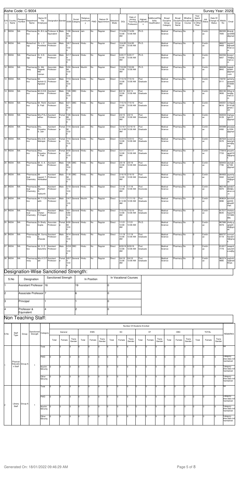|           |                     |                    | Aishe Code: C-9004                    |                            |                                                                          |             |                          |                     |                       |             |                                                                       |                   |                              |                                              |                              |                                             |                                          |                        |                                           |                                                 |               | Survey Year: 2020                     |                                          |                                             |
|-----------|---------------------|--------------------|---------------------------------------|----------------------------|--------------------------------------------------------------------------|-------------|--------------------------|---------------------|-----------------------|-------------|-----------------------------------------------------------------------|-------------------|------------------------------|----------------------------------------------|------------------------------|---------------------------------------------|------------------------------------------|------------------------|-------------------------------------------|-------------------------------------------------|---------------|---------------------------------------|------------------------------------------|---------------------------------------------|
| $\circ$   | S.N Country<br>Name | Passport<br>Number | Department<br>Name                    | Name Of<br>The<br>Employee |                                                                          |             |                          | Social              | Religious<br><b>V</b> |             | Nature Of<br>Designation Gender DOB Category Communit PWD Appointment | Selection<br>Mode | <b>DOJ</b>                   | Date of<br>Joining<br>Teaching<br>Profession | Highest<br>Qualificatio<br>n | Additional/Elig<br>ibility<br>Qualification | Broad<br>Discipline<br>Group<br>Category | Broad<br>Group<br>Name | Whether<br>Discipline Vocationa<br>Course | Year<br>Spent<br>Eclusively<br>In Other<br>Than | Job<br>Status | Date Of<br>Change In Mobile<br>Status | No                                       | Email                                       |
|           | 9 INDIA             | NA                 | tics                                  | lin                        | Pharmaceu Dr. B.V. Ja Professor & Male<br>Equivalent                     |             | 84<br>12:0               | 1/30/ General Jain  |                       | No          | Regular                                                               | Direct            | 12:00<br>AM                  | 7/14/09 7/14/09<br>12:00 AM                  | Ph.D.                        |                                             | Medical<br>Science                       | Pharmacy No            |                                           | lo                                              | Contin<br>ue  |                                       | 992305 bharatj<br>7005                   | ain2006<br>@gmail                           |
|           | 10 INDIA            | NA                 | Biotechnol Dr. J. C.<br>ogy           | Hundiwal                   | Associate<br>Professor                                                   | Male        | 3/6/7<br>12:0            | General Hindu       |                       | No.         | Regular                                                               | Direct            | 12:00<br>AM                  | 10/4/95 10/4/95<br>12:00 AM                  | Ph.D.                        |                                             | Medical<br>Science                       | Pharmacy No            |                                           | l0                                              | Contin<br>ue  |                                       | 986077<br>9469                           | narsim1<br>6@redif<br>fmail.co<br>m         |
|           | 11 INDIA            | <b>NA</b>          | Pharmacol Dr. K.D.<br>ogy             | Patil                      | Associate<br>Professor                                                   | Male        | 12:0                     | 6/1/7 General Hindu |                       | No.         | Regular                                                               | Direct            | 12:00<br>AM                  | 5/25/17 5/25/17<br>12:00 AM                  | Ph.D.                        |                                             | Medical<br>Science                       | Pharmacy No            |                                           | l0                                              | Contin<br>ue  |                                       | 9267                                     | 942394 kiranp1<br>700@g<br>mail.co<br>m     |
|           | 12 INDIA            | NA                 | Pharmacog Dr. Md.<br>nosy             | Rageeb<br>Md.<br>Usman     | Associate<br>Professor                                                   | Male        | 5/24/<br>84<br>12:0      | General Muslim      |                       | No.         | Regular                                                               | Direct            | 12:00<br>AM                  | 7/22/08 7/22/08<br>12:00 AM                  | Ph.D.                        |                                             | Medical<br>Science                       | Pharmacy No            |                                           | lo                                              | Contin<br>ue  |                                       | 986088<br>8842                           | rageeb<br>shaikh<br>@gmail<br>.com          |
|           | 13 INDIA            | NA                 | Pharmaceu Mr.<br>tics                 | Agrawal                    | Assistant<br>Ashish G. Professor                                         | Male        | 85<br>12:0               | 7/13/ General Hindu |                       | No          | Regular                                                               | Direct            | 12:00<br>AM                  | 7/15/19 7/15/19<br>12:00 AM                  | Post<br>Graduate             |                                             | Medical<br>Science                       | Pharmacy No            |                                           | lo                                              | Contin<br>ue  |                                       | 738781<br>0111                           | ashisha<br>grawal3<br>072006<br>@g          |
|           | 14 INDIA            | NA                 | Pharmaceu Mr.K.D.B.<br>tics           | aviskar                    | Assistant<br>Professor                                                   | Male        | 7/28/<br>89<br>12:0      | OBC                 | Hindu                 | No          | Regular                                                               | Direct            | 6/2/14<br>12:00<br><b>AM</b> | 6/2/14<br>12:00 AM                           | Post<br>Graduate             |                                             | Medical<br>Science                       | Pharmacy No            |                                           | lo                                              | Contin<br>ue  |                                       | 956183<br>3600                           | 22kar.ki<br>ran@g<br>mail.co<br>m.          |
|           | 15 INDIA            | NA                 | Pharmaceu Mr. Rohit Assistant<br>tics | S. Patil                   | Professor                                                                | Male        | 6/21/ OBC<br>191<br>12:0 |                     | Hindu                 | No          | Regular                                                               | Direct            | 12:00<br>AM                  | 7/15/19 7/15/19<br>12:00 AM                  | Post<br>Graduate             |                                             | Medical<br>Science                       | Pharmacy No            |                                           | lo                                              | Contin<br>ue  |                                       | 8616                                     | 940351 rohitpati<br>I2191@<br>gmail.c<br>om |
|           | 16 INDIA            | NA                 | Pharmaceu Mrs.P.N.J Assistant<br>tics | adhav                      | Professor                                                                | Femal       | 7/28/<br>89<br>12:0      | General Hindu       |                       | No.         | Regular                                                               | Direct            | 2/2/15<br>12:00<br>AM        | 2/2/15<br>12:00 AM                           | Post<br>Graduate             |                                             | Medical<br>Science                       | Pharmacy No            |                                           | lo                                              | Contin<br>ue  |                                       | 942034<br>9129                           | mahaja<br>npk15<br>@gmail                   |
|           | 17 INDIA            | NA                 | Pharmaceu Mrs.<br>tics                | Priyanka<br>S. Jain        | Assistant<br>Professor                                                   | Femal       | 92<br>12:0               | 7/14/ General Jain  |                       | No          | Regular                                                               | Direct            | <b>AM</b>                    | 12/16/1 12/16/19<br>9 12:00 12:00 AM         | Post<br>Graduate             |                                             | Medical<br>Science                       | Pharmacy No            |                                           | lo                                              | Contin<br>ue  |                                       | 935988 priyasja<br>4382 in1204<br>@gmail |                                             |
|           | 18 INDIA            | NA                 | Pharmaceu Mrs.S.M.<br>tics            | Mahajan                    | Assistant<br>Professor                                                   | Femal<br>le | 7/14/<br>79<br>12:0      | General Hindu       |                       | No.         | Regular                                                               | Direct            | 12:00<br>AM                  | 12/3/12 12/3/12<br>12:00 AM                  | Post<br>Graduate             |                                             | Medical<br>Science                       | Pharmacy No            |                                           | lo                                              | Contin<br>ue  |                                       | 997024<br>5576                           | suvarna<br>latamph<br>arm@g<br>mai          |
|           | 19 INDIA            | <b>NA</b>          | Pharmaceu Miss.<br>tics               | Priyanka<br>V. Patil       | Assistant<br>Professor                                                   | Femal       | 87<br>12:0               | 9/30/ General Hindu |                       | No.         | Regular                                                               | Direct            | 12:00<br>AM                  | 12/1/17 12/1/17<br>12:00 AM                  | Post<br>Graduate             |                                             | Medical<br>Science                       | Pharmacy No            |                                           | lo                                              | Contin<br>ue  |                                       | 7733                                     | 770919 priyank<br>apatil10<br>0@gma         |
|           | 20 INDIA            | NA                 | Pharmaceu Mr. A. A.<br>tics           | Sabe                       | Assistant<br>Professor                                                   | Male        | 7/28/<br>89<br>12:0      | OBC                 | Hindu                 | No          | Regular                                                               | Direct            | 2/5/19<br>12:00<br>AM        | 2/5/19<br>12:00 AM                           | Post<br>Graduate             |                                             | Medical<br>Science                       | Pharmacy No            |                                           | lo                                              | Contin<br>ue  |                                       | 928453<br>7795                           | atulsab<br>e7180<br>@gmail                  |
|           | 21 INDIA            | NA                 | Pharmaceu Mr<br>tical<br>Chemistry    | Nimbalkar                  | Assistant<br>Jayesh T. Professor                                         | Male        | 94<br>12:0               | 11/8/ OBC           | Hindu                 | No          | Regular                                                               | Direct            | 12:00<br>AM                  | 2/16/19 2/16/19<br>12:00 AM                  | Post<br>Graduate             |                                             | Medical<br>Science                       | Pharmacy No            |                                           | $\overline{2}$                                  | Contin<br>ue  |                                       | 3342                                     | 904903 jayeshp<br>harma3<br>33@gm           |
|           | 22 INDIA            | <b>NA</b>          | tical<br>Chemistry                    | Aashish<br>D.<br>Vaikunth  | Pharmaceu Mr. Assistant Male 5/19/ General Hindu No Regular<br>Professor |             | 71<br>12:0               |                     |                       |             |                                                                       | Direct            | 12:00<br>AM                  | 1/1/18 1/1/18<br>12:00 AM                    | Post No.<br>Doctorate        |                                             | Medical Pharmacy No<br>Science           |                        |                                           | $\vert$ 0                                       | Contin<br>ue  |                                       | 982148 ashdv2<br>5970                    | 002@y<br>ahoo.co<br>.in                     |
|           | 23 INDIA            | ΝA                 | Pharmaceu Mr.T.Y.Sh Assistant<br>tics | aikh                       | Professor                                                                | Male        | 2/4/7<br>12:0            | General             | Muslim                | No.         | Regular                                                               | Direct            | AM                           | 11/11/1 11/11/10<br>0 12:00 12:00 AM         | Post<br>Graduate             |                                             | Medical<br>Science                       | Pharmacy No            |                                           |                                                 | Contin<br>ue  |                                       | 909624<br>0896                           | tanvirsh<br>aikh59<br>@rediff<br>mail.      |
|           | 24 INDIA            | NA                 | Pharmaceu Mr.<br>tical<br>Chemistry   | Chetan<br>F.Chajed         | Assistant<br>Professor                                                   | Male        | 10/1<br>5/89<br>12:0     | General Hindu       |                       | No          | Regular                                                               | Direct            | 12:00<br>AM                  | 7/15/19 7/15/19<br>12:00 AM                  | Post<br>Graduate             |                                             | Medical<br>Science                       | Pharmacy No            |                                           | 0                                               | Contin<br>ue  |                                       | 917517<br>6635                           | chetanc<br>hajed15<br>101989<br>@g          |
|           | 25 INDIA            | NA                 | Pharmaceu Dr Shelly<br>tics           | Gupta                      | Associate<br>Professor                                                   | Femal       | 6/26/<br>84<br>12:0      | General             | Hindu                 | No          | Regular                                                               | Direct            | 1/1/21<br>12:00<br>AM        | 1/1/21<br>12:00 AM                           | Ph.D.                        |                                             | Medical<br>Science                       | Pharmacy No            |                                           | 5                                               | Contin<br>ue  |                                       | 887886<br>9479                           | shelly.g<br>upta24<br>26@gm<br>ail.         |
|           | 26 INDIA            | NA                 | Pharmacog Mr. Sunny Assistant<br>nosy | Dhavale                    | Professor                                                                | Male        | 9/14/<br>12:0            | General Hindu       |                       | No          | Regular                                                               | Direct            | 1/1/19<br>12:00<br>AM        | 1/1/19<br>12:00 AM                           | Post<br>Graduate             |                                             | Medical<br>Science                       | Pharmacy No            |                                           | 0                                               | Contin<br>ue  |                                       | 808757<br>5119                           | sunnyd<br>havale1<br>4@gma                  |
|           | 27 INDIA            | ΝA                 | Pharmaceu Mr. S. D.<br>tics           | Salunkhe                   | Assistant<br>Professor                                                   | Male        | 12:0                     | 6/3/8 OBC           | Hindu                 | No          | Regular                                                               | Direct            | 12:00<br>AM                  | 8/29/18 8/29/18<br>12:00 AM                  | Post<br>Graduate             |                                             | Medical<br>Science                       | Pharmacy No            |                                           | 0                                               | Contin<br>ue  |                                       | 814917<br>7779                           | swapnil<br>salunkh<br>e.ss@g                |
|           | 28 INDIA            | NA                 | Pharmacog Mrs.K.D.P Assistant<br>nosy | atil                       | Professor                                                                | Femal       | 12:0                     | 9/9/7 General Hindu |                       | No          | Regular                                                               | Direct            | 9/4/10<br>12:00<br>AM        | 9/4/10<br>12:00 AM                           | Post<br>Graduate             |                                             | Medical<br>Science                       | Pharmacy No            |                                           |                                                 | Contin<br>ue  |                                       | 962374<br>4885                           | yashohi<br>ra@redi<br>ffmail.               |
|           |                     |                    |                                       |                            | Designation-Wise Sanctioned Strength:                                    |             |                          |                     |                       |             |                                                                       |                   |                              |                                              |                              |                                             |                                          |                        |                                           |                                                 |               |                                       |                                          |                                             |
|           | S.No                |                    | Designation                           |                            | Sanctioned Strength                                                      |             |                          |                     |                       | In Position |                                                                       |                   |                              | In Vocational Courses                        |                              |                                             |                                          |                        |                                           |                                                 |               |                                       |                                          |                                             |
| $\vert$ 1 |                     |                    | <b>Assistant Professor</b>            | 16                         |                                                                          |             |                          | 19                  |                       |             | O                                                                     |                   |                              |                                              |                              |                                             |                                          |                        |                                           |                                                 |               |                                       |                                          |                                             |
| l2        |                     |                    | Associate Professor <sup>7</sup>      |                            |                                                                          |             |                          | l6                  |                       |             | 0                                                                     |                   |                              |                                              |                              |                                             |                                          |                        |                                           |                                                 |               |                                       |                                          |                                             |
| lз        |                     | Principal          |                                       |                            |                                                                          |             |                          | 1                   |                       |             | O                                                                     |                   |                              |                                              |                              |                                             |                                          |                        |                                           |                                                 |               |                                       |                                          |                                             |
| 4         |                     | Professor &        |                                       | $\overline{\mathbf{4}}$    |                                                                          |             |                          | l2                  |                       |             | O                                                                     |                   |                              |                                              |                              |                                             |                                          |                        |                                           |                                                 |               |                                       |                                          |                                             |
|           |                     | Equivalent         | Non Teaching Staff:                   |                            |                                                                          |             |                          |                     |                       |             |                                                                       |                   |                              |                                              |                              |                                             |                                          |                        |                                           |                                                 |               |                                       |                                          |                                             |
|           |                     |                    |                                       |                            |                                                                          |             |                          |                     |                       |             |                                                                       |                   |                              | Number Of Students Enrolled                  |                              |                                             |                                          |                        |                                           |                                                 |               |                                       |                                          |                                             |

|      |       |       |                                 |       |       |         |                 |       |        |                 |       |        |                 | Number Of Students Enrolled |           |                 |       |        |                 |       |              |                 |                                  |
|------|-------|-------|---------------------------------|-------|-------|---------|-----------------|-------|--------|-----------------|-------|--------|-----------------|-----------------------------|-----------|-----------------|-------|--------|-----------------|-------|--------------|-----------------|----------------------------------|
| S.No | Staff | Group | Sanctioned Category<br>Strength |       |       | General |                 |       | EWS    |                 |       | SC     |                 |                             | <b>ST</b> |                 |       | OBC    |                 |       | <b>TOTAL</b> |                 | REMARKS                          |
|      | Type  |       |                                 |       | Total | Female  | Trans<br>Gender | Total | Female | Trans<br>Gender | Total | Female | Trans<br>Gender | Total                       | Female    | Trans<br>Gender | Total | Female | Trans<br>Gender | Total | Female       | Trans<br>Gender |                                  |
|      |       |       |                                 | Total |       |         |                 |       |        |                 |       |        |                 |                             |           |                 |       |        |                 |       |              |                 | <b>NA</b>                        |
|      |       |       |                                 | PWD   |       |         |                 |       |        |                 |       |        |                 |                             |           |                 |       |        |                 |       |              |                 | Category-<br>فساما مفصلا مامناها |

|  |         | Physical<br>Educatio Group A |                    | PWD                | I٥  | I٥       |        |     |     |    |    |     |     |     |    | Iо                                       | Category-<br>wise data not<br>maintained |
|--|---------|------------------------------|--------------------|--------------------|-----|----------|--------|-----|-----|----|----|-----|-----|-----|----|------------------------------------------|------------------------------------------|
|  | n Staff |                              | Muslim<br>Minority |                    | lo. | ln.      | $\sim$ | -le | ln. |    | I٥ | O   | lo. |     | Iо | Category-<br>wise data not<br>maintained |                                          |
|  |         |                              |                    | Other<br>Minority  |     | I٥       | ln.    |     | I٢  | l0 |    | ln. | n   | In. |    | Iо                                       | Category-<br>wise data not<br>maintained |
|  |         |                              |                    | Total              | ı٥  | $\Omega$ |        |     |     | ١O |    |     |     | In  |    | I٥                                       | <b>NA</b>                                |
|  |         | Library Group A<br>Staff     |                    | PWD                | r   | $\Omega$ |        |     |     | n  |    |     |     | In  |    | I٥                                       | Category-<br>wise data not<br>maintained |
|  |         |                              |                    | Muslim<br>Minority |     | $\Omega$ |        |     |     |    |    |     |     |     |    | I٥                                       | Category-<br>wise data not<br>maintained |
|  |         |                              |                    | Other<br>Minority  |     | $\Omega$ | ln.    |     | I٥  | l٥ |    | ln. | O   | lo. |    | Iо                                       | Category-<br>wise data not<br>maintained |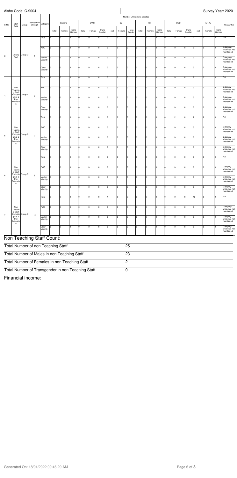|                | Aishe Code: C-9004                        |         |                                                   |                    |       |         |                 |       |             |                 |       |                              |                 |                             |                |                 |       |                |                 |       |              |                 | Survey Year: 2020                        |
|----------------|-------------------------------------------|---------|---------------------------------------------------|--------------------|-------|---------|-----------------|-------|-------------|-----------------|-------|------------------------------|-----------------|-----------------------------|----------------|-----------------|-------|----------------|-----------------|-------|--------------|-----------------|------------------------------------------|
|                |                                           |         |                                                   |                    |       |         |                 |       |             |                 |       |                              |                 | Number Of Students Enrolled |                |                 |       |                |                 |       |              |                 |                                          |
| S.No           | Staff<br>Type                             | Group   | Sanctioned<br>Strength                            | Category           |       | General |                 |       | EWS         |                 |       | $\operatorname{\textsf{SC}}$ |                 |                             | ST             |                 |       | OBC            |                 |       | <b>TOTAL</b> |                 | <b>REMARKS</b>                           |
|                |                                           |         |                                                   |                    | Total | Female  | Trans<br>Gender | Total | Female      | Trans<br>Gender | Total | Female                       | Trans<br>Gender | Total                       | Female         | Trans<br>Gender | Total | Female         | Trans<br>Gender | Total | Female       | Trans<br>Gender |                                          |
|                |                                           |         |                                                   | Total              |       | I٥      | I٥              | ۱o    | lo.         | l0              | l٥    | <sup>0</sup>                 | Iо              | ١o                          | O              | Iо              | l٥    | $\overline{0}$ | Ò               |       |              | lo.             | NA                                       |
|                |                                           |         |                                                   | <b>PWD</b>         | l0    | O       | Iо              | I٥    | 0           | Iо              |       | $\overline{0}$               | Iо              | ١o                          | $\overline{0}$ | 10              | l٥    | 0              | $\Omega$        | I٥    |              | I٥              | Category-<br>wise data not<br>maintained |
| 3              | Library<br>Staff                          | Group D | $\mathbf{1}$                                      | Muslim<br>Minority | l0    | I٥      | I٥              | o     | lo          | I٥              | I٥    | 0                            | Iо              | O                           | O              | Iо              | I٥    | 0              | l0              | I٥    | l0           | l٥              | Category-<br>wise data not<br>maintained |
|                |                                           |         |                                                   | Other<br>Minority  | l0    | O       | I٥              | ۱o    | I٥          | Iо              | I٥    | 0                            | Iо              | I٥                          | O              | Iо              | In    | 0              | $\Omega$        | I٥    |              | lo              | Category-<br>wise data not               |
|                |                                           |         |                                                   | Total              |       | O       | Iо              | lo    | 0           | Iо              | 0     | $\overline{0}$               | Iо              | I٥                          | $\Omega$       | Iо              | ۱n    | 0              | $\Omega$        | 2     |              | I٥              | maintained<br>NA                         |
|                | Non                                       |         |                                                   | PWD                | lо    | I٥      | I٥              | O     | lo          | I٥              | l٥    | $\mathbf 0$                  | Iо              | l0                          | O              | I٥              | I٥    | $\mathbf 0$    | $\Omega$        | I٥    |              | l0              | Category-<br>wise data not               |
| $\overline{4}$ | Teachin<br>g Staff<br>Excludin<br>g Lib & | Group A | $\overline{c}$                                    | Muslim             | I٥    | I٥      | lo.             | O     | I٥          | Iо              | I٥    | O                            | Iо              | l0.                         | O              | Iо              | I٥    | $\mathbf 0$    | $\Omega$        | l٥    |              |                 | maintained<br>Category-                  |
|                | Phy<br>Educatio<br>n                      |         |                                                   | Minority           |       |         |                 |       |             |                 |       |                              |                 |                             |                |                 |       |                |                 |       |              |                 | wise data not<br>maintained              |
|                |                                           |         |                                                   | Other<br>Minority  | l0    | O       | Iо              | I٥    | 0           | Iо              |       | 0                            | Iо              | I٥                          | $\mathbf 0$    | Iо              | 10    | 0              | O               | Iо    |              | O               | Category-<br>wise data not<br>maintained |
|                |                                           |         |                                                   | Total              | lо    | I٥      | Iо              | O     | lo          | I٥              | I٥    | 0                            | Iо              | O                           | O              | Iо              | 10    | $\overline{c}$ | 0               | 2     | 2            | lo.             | NA                                       |
|                | Non<br>Teachin<br>g Staff                 |         |                                                   | PWD                | lо    | O       | Iо              | ۱o    | lo.         | Iо              | l٥    | O                            | Iо              | I٥                          | O              | Iо              | l٥    | 0              | $\Omega$        | l٥    |              | lo              | Category-<br>wise data not<br>maintained |
| 5              | Excludin<br>g Lib &<br>Phy<br>Educatio    | Group B | $\mathbf 2$                                       | Muslim<br>Minority | Iо    | O       | Iо              | lo    | 0           | Iо              | 0     | 0                            | Iо              | I٥                          | 0              | Iо              | ۱n    | $\mathbf 0$    | $\Omega$        | Iо    |              | l٥              | Category-<br>wise data not<br>maintained |
|                | n                                         |         |                                                   | Other<br>Minority  | lо    | I٥      | Iо              | lo.   | I٥          | I٥              | l٥    | $\Omega$                     | Iо              | lo.                         | l0             | I٥              | l٥    | 0              | $\Omega$        | lo.   |              | l٥              | Category-<br>wise data not<br>maintained |
|                |                                           |         |                                                   | Total              |       | I٥      | I٥              | I٥    | lo.         | I٥              | I٥    | O                            | Iо              | I٥                          | 0              | Iо              | l٥    | O              | $\Omega$        | l6    |              | lo.             | NA                                       |
|                | Non<br>Teachir                            |         |                                                   | PWD                | Iо    | O       | Iо              | I٥    | 0           | Iо              |       | I٥                           | Iо              | I٥                          | 0              | Iо              | lo.   | $\mathbf 0$    | $\Omega$        | I٥    |              | O               | Category-<br>wise data not               |
| 6              | g Staff<br>Excludin<br>g Lib &<br>Phy     | Group C | 6                                                 | Muslim             | l0    | I٥      | Iо              | lо    | lo          | I٥              | lо    | 0                            | Iо              | I٥                          | O              | Iо              | 10    | $\mathbf 0$    | 0               | I٥    | l0           | l٥              | maintained<br>Category-<br>wise data not |
|                | Educatio<br>n                             |         |                                                   | Minority<br>Other  | 10    | 10      | 10              | lo    | $ 0\rangle$ | 10              | Iо    | $\overline{0}$               | Iо              | 10                          | O              | Iо              | 10    | 0              | lo              | 10    |              | 10              | maintained<br>Category-                  |
|                |                                           |         |                                                   | Minority<br>Total  | 2     | O       | Iо              | 0     | 0           | Iо              |       | $\overline{0}$               | Iо              | I٥                          | $\Omega$       | Iо              | I٥    | $\overline{0}$ |                 | 12    |              | l0.             | wise data not<br>maintained<br>NA        |
|                |                                           |         |                                                   |                    |       |         |                 |       |             |                 |       |                              |                 |                             |                |                 |       |                |                 |       |              |                 |                                          |
|                | Non<br>Teachin<br>g Staff<br>Excludin     | Group D |                                                   | <b>PWD</b>         | lо    | O       | I٥              | O     | I٥          | I٥              | l٥    | $\mathbf 0$                  | Iо              | O                           | O              | I٥              | Iо    | 0              | $\Omega$        | I٥    |              | 0               | Category-<br>wise data not<br>maintained |
|                | g Lib &<br>Phy<br>Educatio<br>n           |         | 12                                                | Muslim<br>Minority | l٥    | Iо      | I٥              | lо    | lo.         | I٥              | l٥    | 0                            | Iо              | I٥                          | 0              | Iо              | Iо    | 0              | $\Omega$        | l٥    |              |                 | Category-<br>wise data not<br>maintained |
|                |                                           |         |                                                   | Other<br>Minority  |       | O       | Ιo              | I٥    |             | Iо              |       | 0                            | Iо              | l0                          | $\mathbf 0$    | Iо              |       | $\mathbf 0$    |                 |       |              |                 | Category-<br>wise data not<br>maintained |
|                |                                           |         | Non Teaching Staff Count:                         |                    |       |         |                 |       |             |                 |       |                              |                 |                             |                |                 |       |                |                 |       |              |                 |                                          |
|                |                                           |         | Total Number of non Teaching Staff                |                    |       |         |                 |       |             |                 |       |                              | 25              |                             |                |                 |       |                |                 |       |              |                 |                                          |
|                |                                           |         | Total Number of Males in non Teaching Staff       |                    |       |         |                 |       |             |                 |       |                              | 23              |                             |                |                 |       |                |                 |       |              |                 |                                          |
|                |                                           |         | Total Number of Females In non Teaching Staff     |                    |       |         |                 |       |             |                 |       |                              | 2               |                             |                |                 |       |                |                 |       |              |                 |                                          |
|                |                                           |         | Total Number of Transgender in non Teaching Staff |                    |       |         |                 |       |             |                 |       |                              | 10              |                             |                |                 |       |                |                 |       |              |                 |                                          |
|                |                                           |         | Financial income:                                 |                    |       |         |                 |       |             |                 |       |                              |                 |                             |                |                 |       |                |                 |       |              |                 |                                          |

Generated On: 18/01/2022 09:46:29 AM 8 and 7 and 7 and 7 and 7 and 7 and 7 and 7 and 8 and 8 and 8 and 8 and 8 and 8 and 8 and 8 and 8 and 8 and 8 and 8 and 8 and 8 and 8 and 8 and 8 and 8 and 8 and 8 and 8 and 8 and 8 and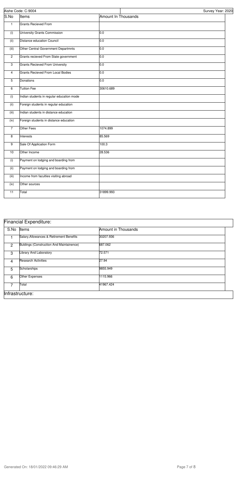|                           | Aishe Code: C-9004                        |                     | Survey Year: 2020 |
|---------------------------|-------------------------------------------|---------------------|-------------------|
| S.No                      | Items                                     | Amount In Thousands |                   |
| $\mathbf{1}$              | <b>Grants Recieved From</b>               |                     |                   |
| (i)                       | University Grants Commission              | 0.0                 |                   |
| (ii)                      | <b>Distance education Council</b>         | 0.0                 |                   |
| (iii)                     | Other Central Government Departmnts       | 0.0                 |                   |
| $\overline{2}$            | Grants recieved From State government     | 0.0                 |                   |
| $\ensuremath{\mathsf{3}}$ | <b>Grants Recieved From University</b>    | 0.0                 |                   |
| 4                         | Grants Recieved From Local Bodies         | 0.0                 |                   |
| 5                         | Donations                                 | 0.0                 |                   |
| 6                         | <b>Tuition Fee</b>                        | 30610.689           |                   |
| (i)                       | Indian students in regular education mode |                     |                   |
| (ii)                      | Foreign students in regular education     |                     |                   |
| (iii)                     | Indian students in distance education     |                     |                   |
| (iv)                      | Foreign students in distance education    |                     |                   |
| $\overline{7}$            | Other Fees                                | 1074.899            |                   |
| 8                         | Interests                                 | 85.569              |                   |
| 9                         | Sale Of Application Form                  | 100.3               |                   |
| 10                        | Other Income                              | 28.536              |                   |
| (i)                       | Payment on lodging and boarding from      |                     |                   |
| (ii)                      | Payment on lodging and boarding from      |                     |                   |
| (iii)                     | Income from faculties visiting abroad     |                     |                   |
| (iv)                      | Other sources                             |                     |                   |
| $\overline{11}$           | Total                                     | 31899.993           |                   |

|                | <b>Financial Expenditure:</b>            |                     |
|----------------|------------------------------------------|---------------------|
| S.No           | Items                                    | Amount in Thousands |
|                | Salary, Allowances & Retirement Benefits | 30207.936           |
| $\overline{2}$ | Buldings (Construction And Maintainence) | 687.062             |
| 3              | Library And Laboratory                   | 72.571              |
| 4              | <b>Research Activities</b>               | 27.94               |
| 5              | Scholarships                             | 9855.949            |
| 6              | Other Expenses                           | 1115.966            |
| 7              | Total                                    | 41967.424           |
|                | Infrastructure:                          |                     |

Generated On: 18/01/2022 09:46:29 AM 8 and 7 of 8

## Financial Expenditure: